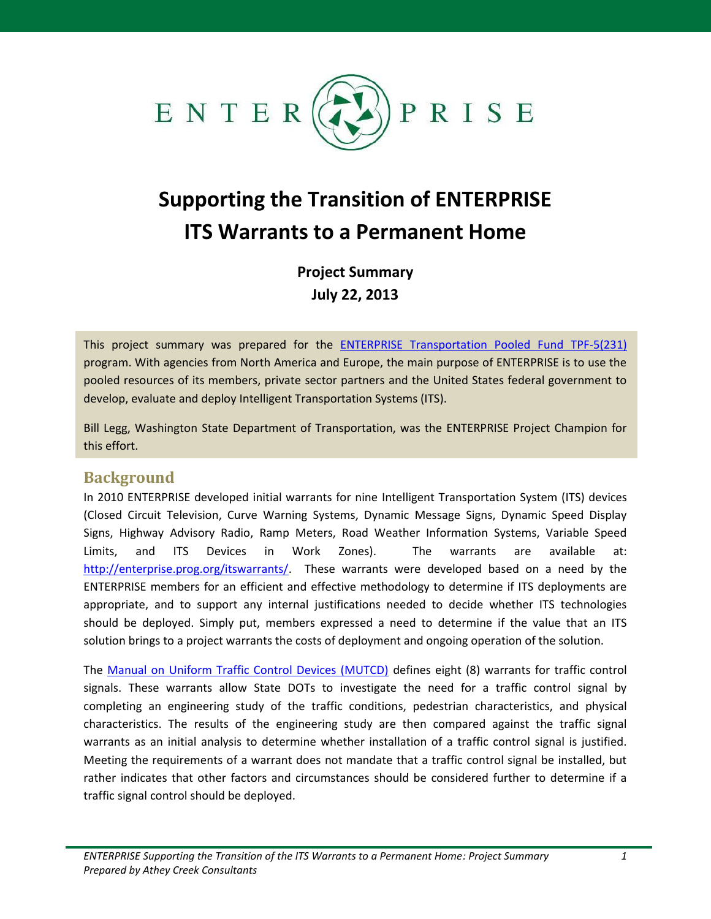

# **Supporting the Transition of ENTERPRISE ITS Warrants to a Permanent Home**

**Project Summary July 22, 2013**

This project summary was prepared for the [ENTERPRISE Transportation Pooled Fund TPF-5\(231\)](http://www.enterprise.prog.org/) program. With agencies from North America and Europe, the main purpose of ENTERPRISE is to use the pooled resources of its members, private sector partners and the United States federal government to develop, evaluate and deploy Intelligent Transportation Systems (ITS).

Bill Legg, Washington State Department of Transportation, was the ENTERPRISE Project Champion for this effort.

## **Background**

In 2010 ENTERPRISE developed initial warrants for nine Intelligent Transportation System (ITS) devices (Closed Circuit Television, Curve Warning Systems, Dynamic Message Signs, Dynamic Speed Display Signs, Highway Advisory Radio, Ramp Meters, Road Weather Information Systems, Variable Speed Limits, and ITS Devices in Work Zones). The warrants are available at: [http://enterprise.prog.org/itswarrants/.](http://enterprise.prog.org/itswarrants/) These warrants were developed based on a need by the ENTERPRISE members for an efficient and effective methodology to determine if ITS deployments are appropriate, and to support any internal justifications needed to decide whether ITS technologies should be deployed. Simply put, members expressed a need to determine if the value that an ITS solution brings to a project warrants the costs of deployment and ongoing operation of the solution.

The [Manual on Uniform Traffic Control Devices \(MUTCD\)](http://mutcd.fhwa.dot.gov/htm/2009/part4/part4c.htm) defines eight (8) warrants for traffic control signals. These warrants allow State DOTs to investigate the need for a traffic control signal by completing an engineering study of the traffic conditions, pedestrian characteristics, and physical characteristics. The results of the engineering study are then compared against the traffic signal warrants as an initial analysis to determine whether installation of a traffic control signal is justified. Meeting the requirements of a warrant does not mandate that a traffic control signal be installed, but rather indicates that other factors and circumstances should be considered further to determine if a traffic signal control should be deployed.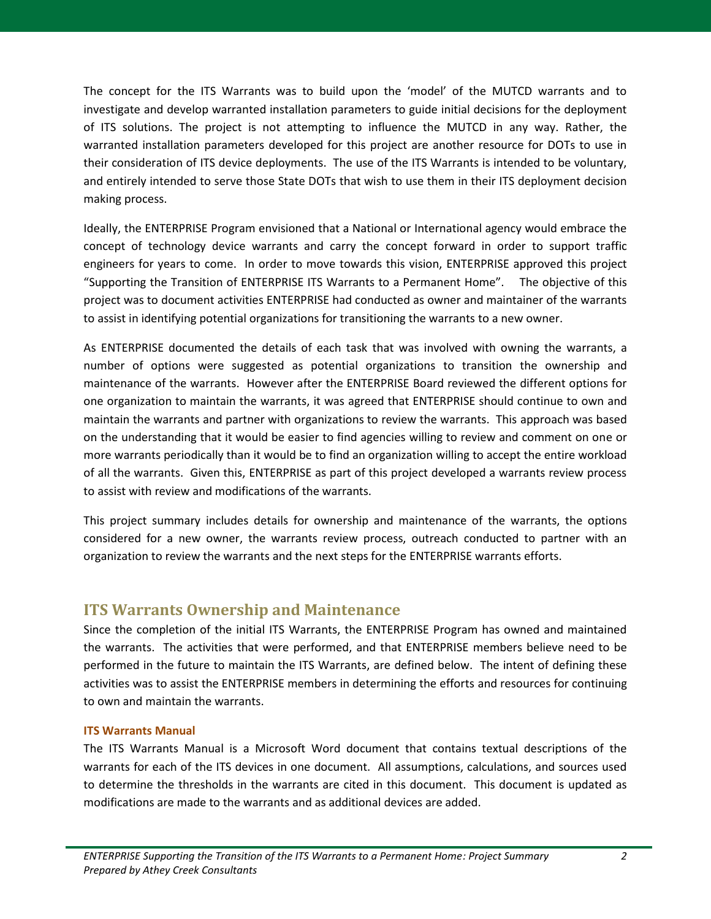The concept for the ITS Warrants was to build upon the 'model' of the MUTCD warrants and to investigate and develop warranted installation parameters to guide initial decisions for the deployment of ITS solutions. The project is not attempting to influence the MUTCD in any way. Rather, the warranted installation parameters developed for this project are another resource for DOTs to use in their consideration of ITS device deployments. The use of the ITS Warrants is intended to be voluntary, and entirely intended to serve those State DOTs that wish to use them in their ITS deployment decision making process.

Ideally, the ENTERPRISE Program envisioned that a National or International agency would embrace the concept of technology device warrants and carry the concept forward in order to support traffic engineers for years to come. In order to move towards this vision, ENTERPRISE approved this project "Supporting the Transition of ENTERPRISE ITS Warrants to a Permanent Home". The objective of this project was to document activities ENTERPRISE had conducted as owner and maintainer of the warrants to assist in identifying potential organizations for transitioning the warrants to a new owner.

As ENTERPRISE documented the details of each task that was involved with owning the warrants, a number of options were suggested as potential organizations to transition the ownership and maintenance of the warrants. However after the ENTERPRISE Board reviewed the different options for one organization to maintain the warrants, it was agreed that ENTERPRISE should continue to own and maintain the warrants and partner with organizations to review the warrants. This approach was based on the understanding that it would be easier to find agencies willing to review and comment on one or more warrants periodically than it would be to find an organization willing to accept the entire workload of all the warrants. Given this, ENTERPRISE as part of this project developed a warrants review process to assist with review and modifications of the warrants.

This project summary includes details for ownership and maintenance of the warrants, the options considered for a new owner, the warrants review process, outreach conducted to partner with an organization to review the warrants and the next steps for the ENTERPRISE warrants efforts.

## **ITS Warrants Ownership and Maintenance**

Since the completion of the initial ITS Warrants, the ENTERPRISE Program has owned and maintained the warrants. The activities that were performed, and that ENTERPRISE members believe need to be performed in the future to maintain the ITS Warrants, are defined below. The intent of defining these activities was to assist the ENTERPRISE members in determining the efforts and resources for continuing to own and maintain the warrants.

## **ITS Warrants Manual**

The ITS Warrants Manual is a Microsoft Word document that contains textual descriptions of the warrants for each of the ITS devices in one document. All assumptions, calculations, and sources used to determine the thresholds in the warrants are cited in this document. This document is updated as modifications are made to the warrants and as additional devices are added.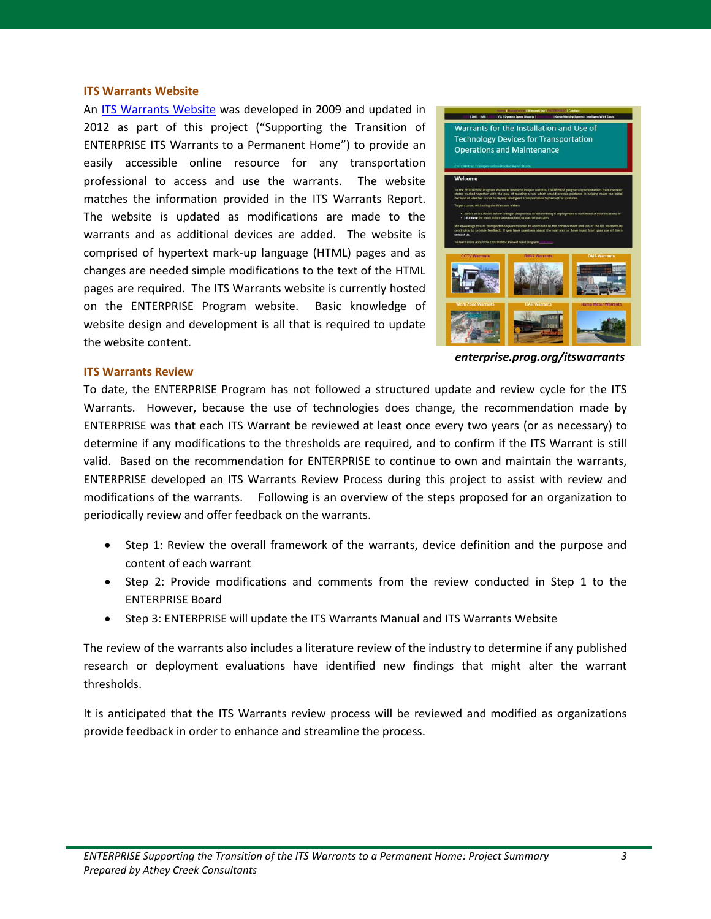#### **ITS Warrants Website**

An [ITS Warrants Website](http://enterprise.prog.org/itswarrants/) was developed in 2009 and updated in 2012 as part of this project ("Supporting the Transition of ENTERPRISE ITS Warrants to a Permanent Home") to provide an easily accessible online resource for any transportation professional to access and use the warrants. The website matches the information provided in the ITS Warrants Report. The website is updated as modifications are made to the warrants and as additional devices are added. The website is comprised of hypertext mark-up language (HTML) pages and as changes are needed simple modifications to the text of the HTML pages are required. The ITS Warrants website is currently hosted on the ENTERPRISE Program website. Basic knowledge of website design and development is all that is required to update the website content.



*enterprise.prog.org/itswarrants*

#### **ITS Warrants Review**

To date, the ENTERPRISE Program has not followed a structured update and review cycle for the ITS Warrants. However, because the use of technologies does change, the recommendation made by ENTERPRISE was that each ITS Warrant be reviewed at least once every two years (or as necessary) to determine if any modifications to the thresholds are required, and to confirm if the ITS Warrant is still valid. Based on the recommendation for ENTERPRISE to continue to own and maintain the warrants, ENTERPRISE developed an ITS Warrants Review Process during this project to assist with review and modifications of the warrants. Following is an overview of the steps proposed for an organization to periodically review and offer feedback on the warrants.

- Step 1: Review the overall framework of the warrants, device definition and the purpose and content of each warrant
- Step 2: Provide modifications and comments from the review conducted in Step 1 to the ENTERPRISE Board
- Step 3: ENTERPRISE will update the ITS Warrants Manual and ITS Warrants Website

The review of the warrants also includes a literature review of the industry to determine if any published research or deployment evaluations have identified new findings that might alter the warrant thresholds.

It is anticipated that the ITS Warrants review process will be reviewed and modified as organizations provide feedback in order to enhance and streamline the process.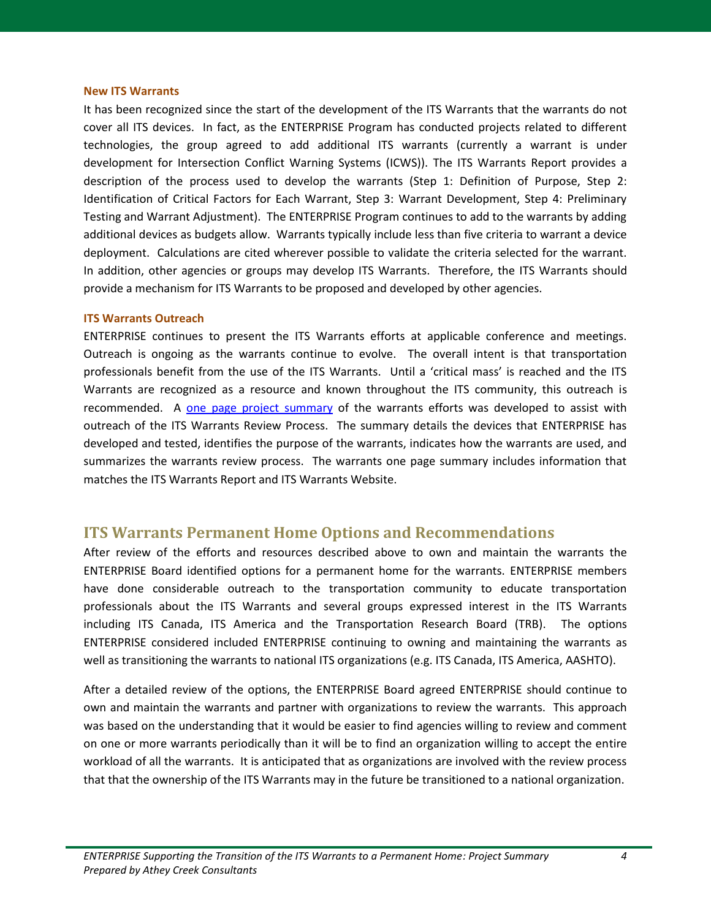#### **New ITS Warrants**

It has been recognized since the start of the development of the ITS Warrants that the warrants do not cover all ITS devices. In fact, as the ENTERPRISE Program has conducted projects related to different technologies, the group agreed to add additional ITS warrants (currently a warrant is under development for Intersection Conflict Warning Systems (ICWS)). The ITS Warrants Report provides a description of the process used to develop the warrants (Step 1: Definition of Purpose, Step 2: Identification of Critical Factors for Each Warrant, Step 3: Warrant Development, Step 4: Preliminary Testing and Warrant Adjustment). The ENTERPRISE Program continues to add to the warrants by adding additional devices as budgets allow. Warrants typically include less than five criteria to warrant a device deployment. Calculations are cited wherever possible to validate the criteria selected for the warrant. In addition, other agencies or groups may develop ITS Warrants. Therefore, the ITS Warrants should provide a mechanism for ITS Warrants to be proposed and developed by other agencies.

#### **ITS Warrants Outreach**

ENTERPRISE continues to present the ITS Warrants efforts at applicable conference and meetings. Outreach is ongoing as the warrants continue to evolve. The overall intent is that transportation professionals benefit from the use of the ITS Warrants. Until a 'critical mass' is reached and the ITS Warrants are recognized as a resource and known throughout the ITS community, this outreach is recommended. A one [page project summary](http://enterprise.prog.org/Projects/2010_Present/itswarrants/ENTERPRISE%20ITS%20Warrants%20Project%20Summary%20042513.pdf) of the warrants efforts was developed to assist with outreach of the ITS Warrants Review Process. The summary details the devices that ENTERPRISE has developed and tested, identifies the purpose of the warrants, indicates how the warrants are used, and summarizes the warrants review process. The warrants one page summary includes information that matches the ITS Warrants Report and ITS Warrants Website.

## **ITS Warrants Permanent Home Options and Recommendations**

After review of the efforts and resources described above to own and maintain the warrants the ENTERPRISE Board identified options for a permanent home for the warrants. ENTERPRISE members have done considerable outreach to the transportation community to educate transportation professionals about the ITS Warrants and several groups expressed interest in the ITS Warrants including ITS Canada, ITS America and the Transportation Research Board (TRB). The options ENTERPRISE considered included ENTERPRISE continuing to owning and maintaining the warrants as well as transitioning the warrants to national ITS organizations (e.g. ITS Canada, ITS America, AASHTO).

After a detailed review of the options, the ENTERPRISE Board agreed ENTERPRISE should continue to own and maintain the warrants and partner with organizations to review the warrants. This approach was based on the understanding that it would be easier to find agencies willing to review and comment on one or more warrants periodically than it will be to find an organization willing to accept the entire workload of all the warrants. It is anticipated that as organizations are involved with the review process that that the ownership of the ITS Warrants may in the future be transitioned to a national organization.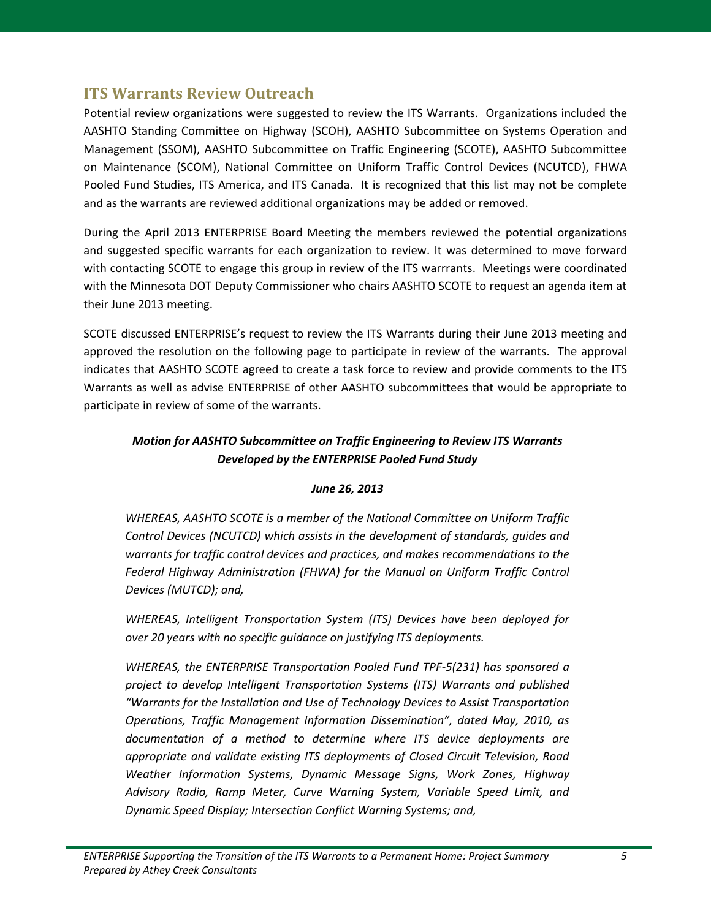# **ITS Warrants Review Outreach**

Potential review organizations were suggested to review the ITS Warrants. Organizations included the AASHTO Standing Committee on Highway (SCOH), AASHTO Subcommittee on Systems Operation and Management (SSOM), AASHTO Subcommittee on Traffic Engineering (SCOTE), AASHTO Subcommittee on Maintenance (SCOM), National Committee on Uniform Traffic Control Devices (NCUTCD), FHWA Pooled Fund Studies, ITS America, and ITS Canada. It is recognized that this list may not be complete and as the warrants are reviewed additional organizations may be added or removed.

During the April 2013 ENTERPRISE Board Meeting the members reviewed the potential organizations and suggested specific warrants for each organization to review. It was determined to move forward with contacting SCOTE to engage this group in review of the ITS warrrants. Meetings were coordinated with the Minnesota DOT Deputy Commissioner who chairs AASHTO SCOTE to request an agenda item at their June 2013 meeting.

SCOTE discussed ENTERPRISE's request to review the ITS Warrants during their June 2013 meeting and approved the resolution on the following page to participate in review of the warrants. The approval indicates that AASHTO SCOTE agreed to create a task force to review and provide comments to the ITS Warrants as well as advise ENTERPRISE of other AASHTO subcommittees that would be appropriate to participate in review of some of the warrants.

## *Motion for AASHTO Subcommittee on Traffic Engineering to Review ITS Warrants Developed by the ENTERPRISE Pooled Fund Study*

## *June 26, 2013*

*WHEREAS, AASHTO SCOTE is a member of the National Committee on Uniform Traffic Control Devices (NCUTCD) which assists in the development of standards, guides and warrants for traffic control devices and practices, and makes recommendations to the Federal Highway Administration (FHWA) for the Manual on Uniform Traffic Control Devices (MUTCD); and,* 

*WHEREAS, Intelligent Transportation System (ITS) Devices have been deployed for over 20 years with no specific guidance on justifying ITS deployments.*

*WHEREAS, the ENTERPRISE Transportation Pooled Fund TPF-5(231) has sponsored a project to develop Intelligent Transportation Systems (ITS) Warrants and published "Warrants for the Installation and Use of Technology Devices to Assist Transportation Operations, Traffic Management Information Dissemination", dated May, 2010, as documentation of a method to determine where ITS device deployments are appropriate and validate existing ITS deployments of Closed Circuit Television, Road Weather Information Systems, Dynamic Message Signs, Work Zones, Highway Advisory Radio, Ramp Meter, Curve Warning System, Variable Speed Limit, and Dynamic Speed Display; Intersection Conflict Warning Systems; and,*